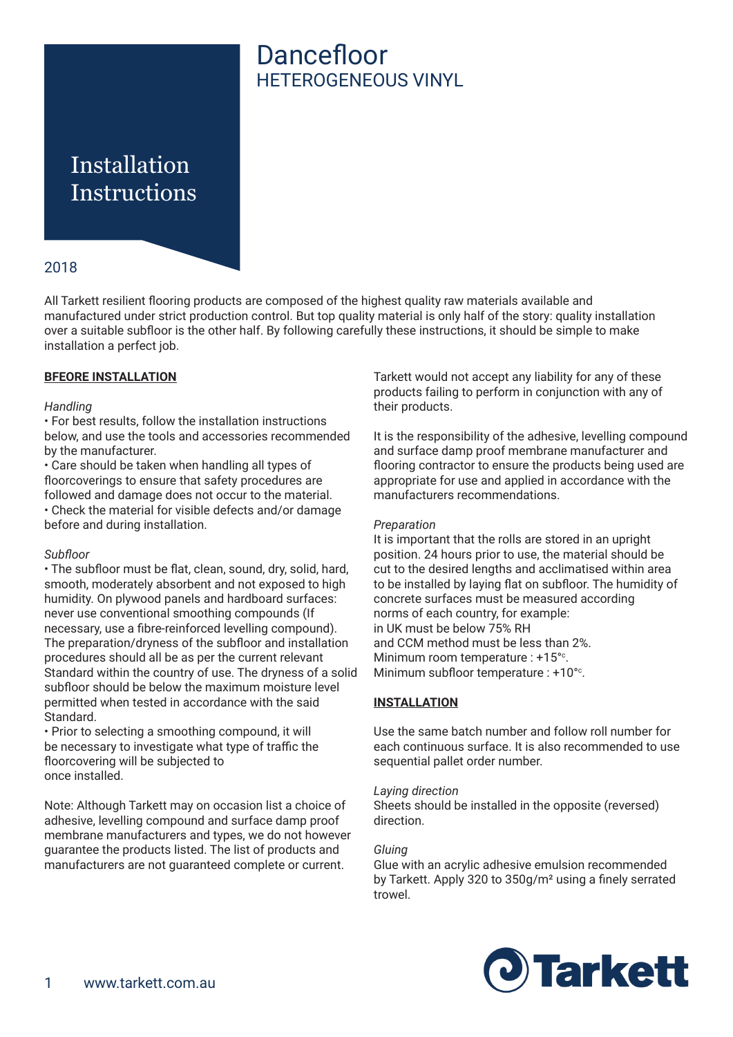# Dancefloor HETEROGENEOUS VINYL

# Installation **Instructions**

## 2018

All Tarkett resilient flooring products are composed of the highest quality raw materials available and manufactured under strict production control. But top quality material is only half of the story: quality installation over a suitable subfloor is the other half. By following carefully these instructions, it should be simple to make installation a perfect job.

### **BFEORE INSTALLATION**

#### *Handling*

• For best results, follow the installation instructions below, and use the tools and accessories recommended by the manufacturer.

• Care should be taken when handling all types of floorcoverings to ensure that safety procedures are followed and damage does not occur to the material. • Check the material for visible defects and/or damage before and during installation.

#### *Subfloor*

• The subfloor must be flat, clean, sound, dry, solid, hard, smooth, moderately absorbent and not exposed to high humidity. On plywood panels and hardboard surfaces: never use conventional smoothing compounds (If necessary, use a fibre-reinforced levelling compound). The preparation/dryness of the subfloor and installation procedures should all be as per the current relevant Standard within the country of use. The dryness of a solid subfloor should be below the maximum moisture level permitted when tested in accordance with the said Standard.

• Prior to selecting a smoothing compound, it will be necessary to investigate what type of traffic the floorcovering will be subjected to once installed.

Note: Although Tarkett may on occasion list a choice of adhesive, levelling compound and surface damp proof membrane manufacturers and types, we do not however guarantee the products listed. The list of products and manufacturers are not guaranteed complete or current.

Tarkett would not accept any liability for any of these products failing to perform in conjunction with any of their products.

It is the responsibility of the adhesive, levelling compound and surface damp proof membrane manufacturer and flooring contractor to ensure the products being used are appropriate for use and applied in accordance with the manufacturers recommendations.

#### *Preparation*

It is important that the rolls are stored in an upright position. 24 hours prior to use, the material should be cut to the desired lengths and acclimatised within area to be installed by laying flat on subfloor. The humidity of concrete surfaces must be measured according norms of each country, for example: in UK must be below 75% RH and CCM method must be less than 2%. Minimum room temperature : +15<sup>o</sup>. Minimum subfloor temperature : +10<sup>o</sup>.

#### **INSTALLATION**

Use the same batch number and follow roll number for each continuous surface. It is also recommended to use sequential pallet order number.

#### *Laying direction*

Sheets should be installed in the opposite (reversed) direction.

#### *Gluing*

Glue with an acrylic adhesive emulsion recommended by Tarkett. Apply 320 to 350g/m² using a finely serrated trowel.